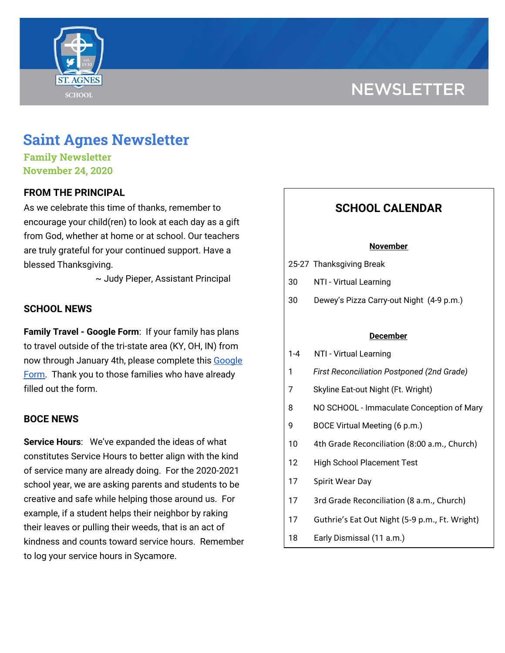# **NEWSLETTER**



# **Saint Agnes Newsletter**

**Family Newsletter November 24, 2020**

# **FROM THE PRINCIPAL**

As we celebrate this time of thanks, remember to encourage your child(ren) to look at each day as a gift from God, whether at home or at school. Our teachers are truly grateful for your continued support. Have a blessed Thanksgiving.

~ Judy Pieper, Assistant Principal

# **SCHOOL NEWS**

**Family Travel - Google Form**: If your family has plans to travel outside of the tri-state area (KY, OH, IN) from now through January 4th, please complete this [Google](https://docs.google.com/forms/d/e/1FAIpQLSfFM-ZAlSxO2UPHBz7UuV56wGWfebAHwFLUEsy2NnajQKNbhA/viewform?usp=sf_link) [Form.](https://docs.google.com/forms/d/e/1FAIpQLSfFM-ZAlSxO2UPHBz7UuV56wGWfebAHwFLUEsy2NnajQKNbhA/viewform?usp=sf_link) Thank you to those families who have already filled out the form.

# **BOCE NEWS**

**Service Hours**: We've expanded the ideas of what constitutes Service Hours to better align with the kind of service many are already doing. For the 2020-2021 school year, we are asking parents and students to be creative and safe while helping those around us. For example, if a student helps their neighbor by raking their leaves or pulling their weeds, that is an act of kindness and counts toward service hours. Remember to log your service hours in Sycamore.

# **SCHOOL CALENDAR**

#### **November**

- 25-27 Thanksgiving Break
- 30 NTI Virtual Learning
- 30 Dewey's Pizza Carry-out Night (4-9 p.m.)

### **December**

- 1-4 NTI Virtual Learning
- 1 *First Reconciliation Postponed (2nd Grade)*
- 7 Skyline Eat-out Night (Ft. Wright)
- 8 NO SCHOOL Immaculate Conception of Mary
- 9 BOCE Virtual Meeting (6 p.m.)
- 10 4th Grade Reconciliation (8:00 a.m., Church)
- 12 High School Placement Test
- 17 Spirit Wear Day
- 17 3rd Grade Reconciliation (8 a.m., Church)
- 17 Guthrie's Eat Out Night (5-9 p.m., Ft. Wright)
- 18 Early Dismissal (11 a.m.)